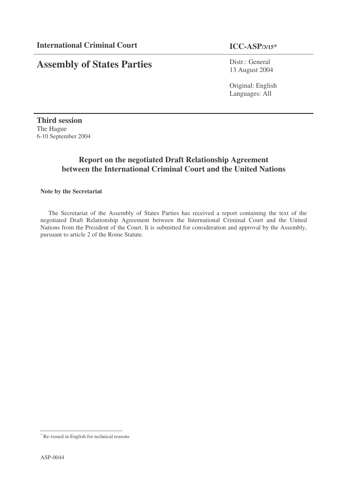# **Assembly of States Parties**

Distr.: General 13 August 2004

Original: English Languages: All

**Third session** The Hague 6-10 September 2004

## **Report on the negotiated Draft Relationship Agreement between the International Criminal Court and the United Nations**

#### **Note by the Secretariat**

The Secretariat of the Assembly of States Parties has received a report containing the text of the negotiated Draft Relationship Agreement between the International Criminal Court and the United Nations from the President of the Court. It is submitted for consideration and approval by the Assembly, pursuant to article 2 of the Rome Statute.

<sup>\*</sup> Re-issued in English for technical reasons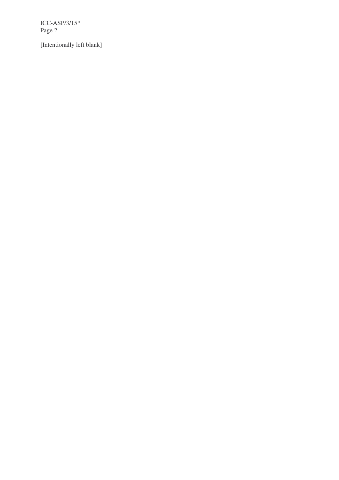ICC-ASP/3/15\* Page 2

[Intentionally left blank]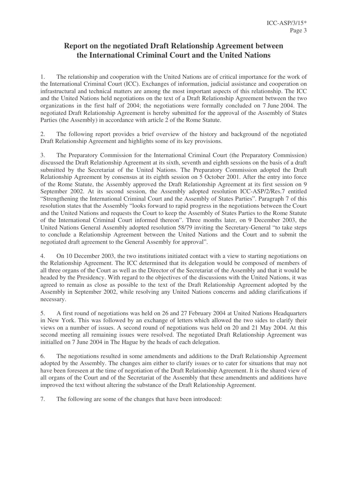## **Report on the negotiated Draft Relationship Agreement between the International Criminal Court and the United Nations**

1. The relationship and cooperation with the United Nations are of critical importance for the work of the International Criminal Court (ICC). Exchanges of information, judicial assistance and cooperation on infrastructural and technical matters are among the most important aspects of this relationship. The ICC and the United Nations held negotiations on the text of a Draft Relationship Agreement between the two organizations in the first half of 2004; the negotiations were formally concluded on 7 June 2004. The negotiated Draft Relationship Agreement is hereby submitted for the approval of the Assembly of States Parties (the Assembly) in accordance with article 2 of the Rome Statute.

2. The following report provides a brief overview of the history and background of the negotiated Draft Relationship Agreement and highlights some of its key provisions.

3. The Preparatory Commission for the International Criminal Court (the Preparatory Commission) discussed the Draft Relationship Agreement at its sixth, seventh and eighth sessions on the basis of a draft submitted by the Secretariat of the United Nations. The Preparatory Commission adopted the Draft Relationship Agreement by consensus at its eighth session on 5 October 2001. After the entry into force of the Rome Statute, the Assembly approved the Draft Relationship Agreement at its first session on 9 September 2002. At its second session, the Assembly adopted resolution ICC-ASP/2/Res.7 entitled "Strengthening the International Criminal Court and the Assembly of States Parties". Paragraph 7 of this resolution states that the Assembly "looks forward to rapid progress in the negotiations between the Court and the United Nations and requests the Court to keep the Assembly of States Parties to the Rome Statute of the International Criminal Court informed thereon". Three months later, on 9 December 2003, the United Nations General Assembly adopted resolution 58/79 inviting the Secretary-General "to take steps to conclude a Relationship Agreement between the United Nations and the Court and to submit the negotiated draft agreement to the General Assembly for approval".

4. On 10 December 2003, the two institutions initiated contact with a view to starting negotiations on the Relationship Agreement. The ICC determined that its delegation would be composed of members of all three organs of the Court as well as the Director of the Secretariat of the Assembly and that it would be headed by the Presidency. With regard to the objectives of the discussions with the United Nations, it was agreed to remain as close as possible to the text of the Draft Relationship Agreement adopted by the Assembly in September 2002, while resolving any United Nations concerns and adding clarifications if necessary.

5. A first round of negotiations was held on 26 and 27 February 2004 at United Nations Headquarters in New York. This was followed by an exchange of letters which allowed the two sides to clarify their views on a number of issues. A second round of negotiations was held on 20 and 21 May 2004. At this second meeting all remaining issues were resolved. The negotiated Draft Relationship Agreement was initialled on 7 June 2004 in The Hague by the heads of each delegation.

6. The negotiations resulted in some amendments and additions to the Draft Relationship Agreement adopted by the Assembly. The changes aim either to clarify issues or to cater for situations that may not have been foreseen at the time of negotiation of the Draft Relationship Agreement. It is the shared view of all organs of the Court and of the Secretariat of the Assembly that these amendments and additions have improved the text without altering the substance of the Draft Relationship Agreement.

7. The following are some of the changes that have been introduced: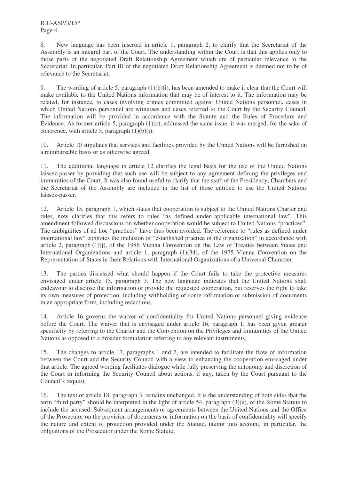8. New language has been inserted in article 1, paragraph 2, to clarify that the Secretariat of the Assembly is an integral part of the Court. The understanding within the Court is that this applies only to those parts of the negotiated Draft Relationship Agreement which are of particular relevance to the Secretariat. In particular, Part III of the negotiated Draft Relationship Agreement is deemed not to be of relevance to the Secretariat.

9. The wording of article 5, paragraph (1)(b)(i), has been amended to make it clear that the Court will make available to the United Nations information that may be of interest to it. The information may be related, for instance, to cases involving crimes committed against United Nations personnel, cases in which United Nations personnel are witnesses and cases referred to the Court by the Security Council. The information will be provided in accordance with the Statute and the Rules of Procedure and Evidence. As former article 5, paragraph (1)(c), addressed the same issue, it was merged, for the sake of coherence, with article 5, paragraph  $(1)(b)(i)$ .

10. Article 10 stipulates that services and facilities provided by the United Nations will be furnished on a reimbursable basis or as otherwise agreed.

11. The additional language in article 12 clarifies the legal basis for the use of the United Nations laissez-passer by providing that such use will be subject to any agreement defining the privileges and immunities of the Court. It was also found useful to clarify that the staff of the Presidency, Chambers and the Secretariat of the Assembly are included in the list of those entitled to use the United Nations laissez-passer.

12. Article 15, paragraph 1, which states that cooperation is subject to the United Nations Charter and rules, now clarifies that this refers to rules "as defined under applicable international law". This amendment followed discussions on whether cooperation would be subject to United Nations "practices". The ambiguities of ad hoc "practices" have thus been avoided. The reference to "rules as defined under international law" connotes the inclusion of "established practice of the organization" in accordance with article 2, paragraph (1)(j), of the 1986 Vienna Convention on the Law of Treaties between States and International Organizations and article 1, paragraph (1)(34), of the 1975 Vienna Convention on the Representation of States in their Relations with International Organizations of a Universal Character.

13. The parties discussed what should happen if the Court fails to take the protective measures envisaged under article 15, paragraph 3. The new language indicates that the United Nations shall endeavour to disclose the information or provide the requested cooperation, but reserves the right to take its own measures of protection, including withholding of some information or submission of documents in an appropriate form, including redactions.

14. Article 16 governs the waiver of confidentiality for United Nations personnel giving evidence before the Court. The waiver that is envisaged under article 16, paragraph 1, has been given greater specificity by referring to the Charter and the Convention on the Privileges and Immunities of the United Nations as opposed to a broader formulation referring to any relevant instruments.

15. The changes to article 17, paragraphs 1 and 2, are intended to facilitate the flow of information between the Court and the Security Council with a view to enhancing the cooperation envisaged under that article. The agreed wording facilitates dialogue while fully preserving the autonomy and discretion of the Court in informing the Security Council about actions, if any, taken by the Court pursuant to the Council's request.

16. The text of article 18, paragraph 3, remains unchanged. It is the understanding of both sides that the term "third party" should be interpreted in the light of article 54, paragraph (3)(e), of the Rome Statute to include the accused. Subsequent arrangements or agreements between the United Nations and the Office of the Prosecutor on the provision of documents or information on the basis of confidentiality will specify the nature and extent of protection provided under the Statute, taking into account, in particular, the obligations of the Prosecutor under the Rome Statute.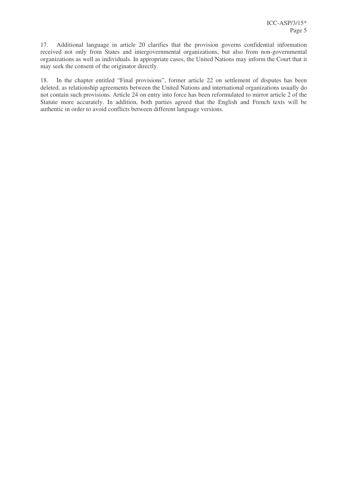17. Additional language in article 20 clarifies that the provision governs confidential information received not only from States and intergovernmental organizations, but also from non-governmental organizations as well as individuals. In appropriate cases, the United Nations may inform the Court that it may seek the consent of the originator directly.

18. In the chapter entitled "Final provisions", former article 22 on settlement of disputes has been deleted, as relationship agreements between the United Nations and international organizations usually do not contain such provisions. Article 24 on entry into force has been reformulated to mirror article 2 of the Statute more accurately. In addition, both parties agreed that the English and French texts will be authentic in order to avoid conflicts between different language versions.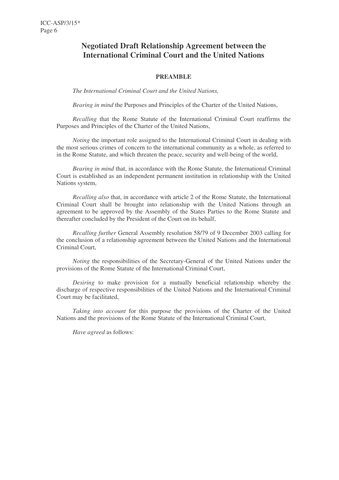## **Negotiated Draft Relationship Agreement between the International Criminal Court and the United Nations**

#### **PREAMBLE**

*The International Criminal Court and the United Nations,*

*Bearing in mind* the Purposes and Principles of the Charter of the United Nations,

*Recalling* that the Rome Statute of the International Criminal Court reaffirms the Purposes and Principles of the Charter of the United Nations,

*Noting* the important role assigned to the International Criminal Court in dealing with the most serious crimes of concern to the international community as a whole, as referred to in the Rome Statute, and which threaten the peace, security and well-being of the world,

*Bearing in mind* that, in accordance with the Rome Statute, the International Criminal Court is established as an independent permanent institution in relationship with the United Nations system,

*Recalling also* that, in accordance with article 2 of the Rome Statute, the International Criminal Court shall be brought into relationship with the United Nations through an agreement to be approved by the Assembly of the States Parties to the Rome Statute and thereafter concluded by the President of the Court on its behalf,

*Recalling further* General Assembly resolution 58/79 of 9 December 2003 calling for the conclusion of a relationship agreement between the United Nations and the International Criminal Court,

*Noting* the responsibilities of the Secretary-General of the United Nations under the provisions of the Rome Statute of the International Criminal Court,

*Desiring* to make provision for a mutually beneficial relationship whereby the discharge of respective responsibilities of the United Nations and the International Criminal Court may be facilitated,

*Taking into account* for this purpose the provisions of the Charter of the United Nations and the provisions of the Rome Statute of the International Criminal Court,

*Have agreed* as follows: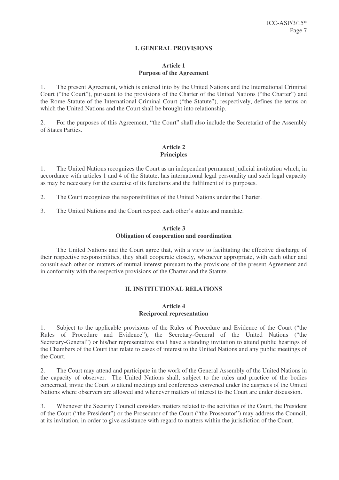#### **I. GENERAL PROVISIONS**

#### **Article 1 Purpose of the Agreement**

1. The present Agreement, which is entered into by the United Nations and the International Criminal Court ("the Court"), pursuant to the provisions of the Charter of the United Nations ("the Charter") and the Rome Statute of the International Criminal Court ("the Statute"), respectively, defines the terms on which the United Nations and the Court shall be brought into relationship.

2. For the purposes of this Agreement, "the Court" shall also include the Secretariat of the Assembly of States Parties.

#### **Article 2 Principles**

1. The United Nations recognizes the Court as an independent permanent judicial institution which, in accordance with articles 1 and 4 of the Statute, has international legal personality and such legal capacity as may be necessary for the exercise of its functions and the fulfilment of its purposes.

2. The Court recognizes the responsibilities of the United Nations under the Charter.

3. The United Nations and the Court respect each other's status and mandate.

#### **Article 3 Obligation of cooperation and coordination**

The United Nations and the Court agree that, with a view to facilitating the effective discharge of their respective responsibilities, they shall cooperate closely, whenever appropriate, with each other and consult each other on matters of mutual interest pursuant to the provisions of the present Agreement and in conformity with the respective provisions of the Charter and the Statute.

#### **II. INSTITUTIONAL RELATIONS**

#### **Article 4 Reciprocal representation**

1. Subject to the applicable provisions of the Rules of Procedure and Evidence of the Court ("the Rules of Procedure and Evidence"), the Secretary-General of the United Nations ("the Secretary-General") or his/her representative shall have a standing invitation to attend public hearings of the Chambers of the Court that relate to cases of interest to the United Nations and any public meetings of the Court.

2. The Court may attend and participate in the work of the General Assembly of the United Nations in the capacity of observer. The United Nations shall, subject to the rules and practice of the bodies concerned, invite the Court to attend meetings and conferences convened under the auspices of the United Nations where observers are allowed and whenever matters of interest to the Court are under discussion.

3. Whenever the Security Council considers matters related to the activities of the Court, the President of the Court ("the President") or the Prosecutor of the Court ("the Prosecutor") may address the Council, at its invitation, in order to give assistance with regard to matters within the jurisdiction of the Court.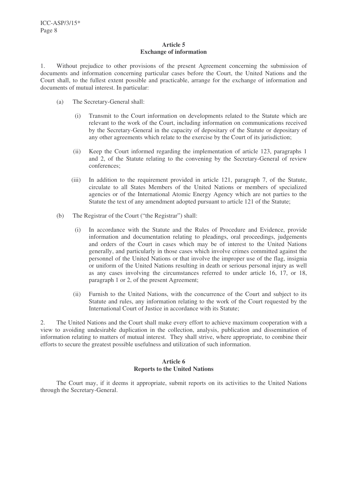#### **Article 5 Exchange of information**

1. Without prejudice to other provisions of the present Agreement concerning the submission of documents and information concerning particular cases before the Court, the United Nations and the Court shall, to the fullest extent possible and practicable, arrange for the exchange of information and documents of mutual interest. In particular:

- (a) The Secretary-General shall:
	- (i) Transmit to the Court information on developments related to the Statute which are relevant to the work of the Court, including information on communications received by the Secretary-General in the capacity of depositary of the Statute or depositary of any other agreements which relate to the exercise by the Court of its jurisdiction;
	- (ii) Keep the Court informed regarding the implementation of article 123, paragraphs 1 and 2, of the Statute relating to the convening by the Secretary-General of review conferences;
	- (iii) In addition to the requirement provided in article 121, paragraph 7, of the Statute, circulate to all States Members of the United Nations or members of specialized agencies or of the International Atomic Energy Agency which are not parties to the Statute the text of any amendment adopted pursuant to article 121 of the Statute;
- (b) The Registrar of the Court ("the Registrar") shall:
	- (i) In accordance with the Statute and the Rules of Procedure and Evidence, provide information and documentation relating to pleadings, oral proceedings, judgements and orders of the Court in cases which may be of interest to the United Nations generally, and particularly in those cases which involve crimes committed against the personnel of the United Nations or that involve the improper use of the flag, insignia or uniform of the United Nations resulting in death or serious personal injury as well as any cases involving the circumstances referred to under article 16, 17, or 18, paragraph 1 or 2, of the present Agreement;
	- (ii) Furnish to the United Nations, with the concurrence of the Court and subject to its Statute and rules, any information relating to the work of the Court requested by the International Court of Justice in accordance with its Statute;

2. The United Nations and the Court shall make every effort to achieve maximum cooperation with a view to avoiding undesirable duplication in the collection, analysis, publication and dissemination of information relating to matters of mutual interest. They shall strive, where appropriate, to combine their efforts to secure the greatest possible usefulness and utilization of such information.

#### **Article 6 Reports to the United Nations**

The Court may, if it deems it appropriate, submit reports on its activities to the United Nations through the Secretary-General.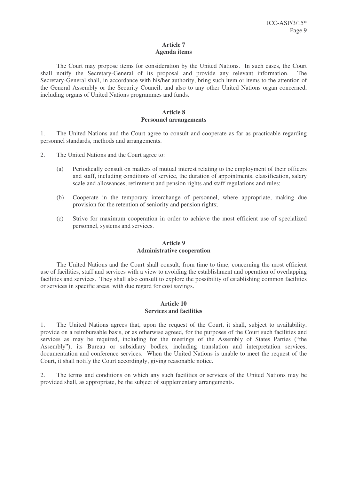#### **Article 7 Agenda items**

The Court may propose items for consideration by the United Nations. In such cases, the Court shall notify the Secretary-General of its proposal and provide any relevant information. The Secretary-General shall, in accordance with his/her authority, bring such item or items to the attention of the General Assembly or the Security Council, and also to any other United Nations organ concerned, including organs of United Nations programmes and funds.

#### **Article 8 Personnel arrangements**

1. The United Nations and the Court agree to consult and cooperate as far as practicable regarding personnel standards, methods and arrangements.

2. The United Nations and the Court agree to:

- (a) Periodically consult on matters of mutual interest relating to the employment of their officers and staff, including conditions of service, the duration of appointments, classification, salary scale and allowances, retirement and pension rights and staff regulations and rules;
- (b) Cooperate in the temporary interchange of personnel, where appropriate, making due provision for the retention of seniority and pension rights;
- (c) Strive for maximum cooperation in order to achieve the most efficient use of specialized personnel, systems and services.

#### **Article 9 Administrative cooperation**

The United Nations and the Court shall consult, from time to time, concerning the most efficient use of facilities, staff and services with a view to avoiding the establishment and operation of overlapping facilities and services. They shall also consult to explore the possibility of establishing common facilities or services in specific areas, with due regard for cost savings.

#### **Article 10 Services and facilities**

1. The United Nations agrees that, upon the request of the Court, it shall, subject to availability, provide on a reimbursable basis, or as otherwise agreed, for the purposes of the Court such facilities and services as may be required, including for the meetings of the Assembly of States Parties ("the Assembly"), its Bureau or subsidiary bodies, including translation and interpretation services, documentation and conference services. When the United Nations is unable to meet the request of the Court, it shall notify the Court accordingly, giving reasonable notice.

2. The terms and conditions on which any such facilities or services of the United Nations may be provided shall, as appropriate, be the subject of supplementary arrangements.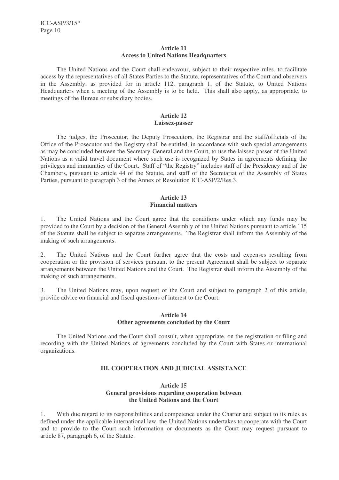#### **Article 11 Access to United Nations Headquarters**

The United Nations and the Court shall endeavour, subject to their respective rules, to facilitate access by the representatives of all States Parties to the Statute, representatives of the Court and observers in the Assembly, as provided for in article 112, paragraph 1, of the Statute, to United Nations Headquarters when a meeting of the Assembly is to be held. This shall also apply, as appropriate, to meetings of the Bureau or subsidiary bodies.

#### **Article 12 Laissez-passer**

The judges, the Prosecutor, the Deputy Prosecutors, the Registrar and the staff/officials of the Office of the Prosecutor and the Registry shall be entitled, in accordance with such special arrangements as may be concluded between the Secretary-General and the Court, to use the laissez-passer of the United Nations as a valid travel document where such use is recognized by States in agreements defining the privileges and immunities of the Court. Staff of "the Registry" includes staff of the Presidency and of the Chambers, pursuant to article 44 of the Statute, and staff of the Secretariat of the Assembly of States Parties, pursuant to paragraph 3 of the Annex of Resolution ICC-ASP/2/Res.3.

#### **Article 13 Financial matters**

1. The United Nations and the Court agree that the conditions under which any funds may be provided to the Court by a decision of the General Assembly of the United Nations pursuant to article 115 of the Statute shall be subject to separate arrangements. The Registrar shall inform the Assembly of the making of such arrangements.

2. The United Nations and the Court further agree that the costs and expenses resulting from cooperation or the provision of services pursuant to the present Agreement shall be subject to separate arrangements between the United Nations and the Court. The Registrar shall inform the Assembly of the making of such arrangements.

3. The United Nations may, upon request of the Court and subject to paragraph 2 of this article, provide advice on financial and fiscal questions of interest to the Court.

#### **Article 14 Other agreements concluded by the Court**

The United Nations and the Court shall consult, when appropriate, on the registration or filing and recording with the United Nations of agreements concluded by the Court with States or international organizations.

#### **III. COOPERATION AND JUDICIAL ASSISTANCE**

#### **Article 15 General provisions regarding cooperation between the United Nations and the Court**

1. With due regard to its responsibilities and competence under the Charter and subject to its rules as defined under the applicable international law, the United Nations undertakes to cooperate with the Court and to provide to the Court such information or documents as the Court may request pursuant to article 87, paragraph 6, of the Statute.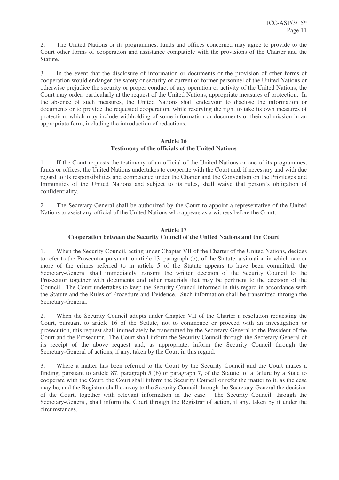2. The United Nations or its programmes, funds and offices concerned may agree to provide to the Court other forms of cooperation and assistance compatible with the provisions of the Charter and the Statute.

3. In the event that the disclosure of information or documents or the provision of other forms of cooperation would endanger the safety or security of current or former personnel of the United Nations or otherwise prejudice the security or proper conduct of any operation or activity of the United Nations, the Court may order, particularly at the request of the United Nations, appropriate measures of protection. In the absence of such measures, the United Nations shall endeavour to disclose the information or documents or to provide the requested cooperation, while reserving the right to take its own measures of protection, which may include withholding of some information or documents or their submission in an appropriate form, including the introduction of redactions.

#### **Article 16 Testimony of the officials of the United Nations**

1. If the Court requests the testimony of an official of the United Nations or one of its programmes, funds or offices, the United Nations undertakes to cooperate with the Court and, if necessary and with due regard to its responsibilities and competence under the Charter and the Convention on the Privileges and Immunities of the United Nations and subject to its rules, shall waive that person's obligation of confidentiality.

2. The Secretary-General shall be authorized by the Court to appoint a representative of the United Nations to assist any official of the United Nations who appears as a witness before the Court.

### **Article 17 Cooperation between the Security Council of the United Nations and the Court**

1. When the Security Council, acting under Chapter VII of the Charter of the United Nations, decides to refer to the Prosecutor pursuant to article 13, paragraph (b), of the Statute, a situation in which one or more of the crimes referred to in article 5 of the Statute appears to have been committed, the Secretary-General shall immediately transmit the written decision of the Security Council to the Prosecutor together with documents and other materials that may be pertinent to the decision of the Council. The Court undertakes to keep the Security Council informed in this regard in accordance with the Statute and the Rules of Procedure and Evidence. Such information shall be transmitted through the Secretary-General.

2. When the Security Council adopts under Chapter VII of the Charter a resolution requesting the Court, pursuant to article 16 of the Statute, not to commence or proceed with an investigation or prosecution, this request shall immediately be transmitted by the Secretary-General to the President of the Court and the Prosecutor. The Court shall inform the Security Council through the Secretary-General of its receipt of the above request and, as appropriate, inform the Security Council through the Secretary-General of actions, if any, taken by the Court in this regard.

3. Where a matter has been referred to the Court by the Security Council and the Court makes a finding, pursuant to article 87, paragraph 5 (b) or paragraph 7, of the Statute, of a failure by a State to cooperate with the Court, the Court shall inform the Security Council or refer the matter to it, as the case may be, and the Registrar shall convey to the Security Council through the Secretary-General the decision of the Court, together with relevant information in the case. The Security Council, through the Secretary-General, shall inform the Court through the Registrar of action, if any, taken by it under the circumstances.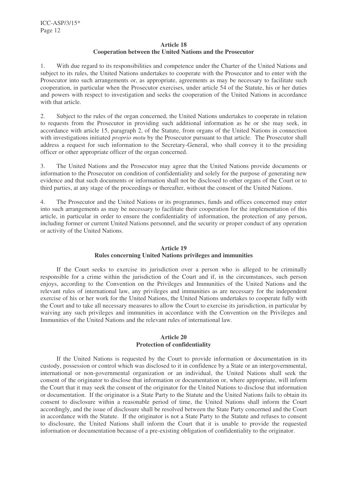#### **Article 18 Cooperation between the United Nations and the Prosecutor**

1. With due regard to its responsibilities and competence under the Charter of the United Nations and subject to its rules, the United Nations undertakes to cooperate with the Prosecutor and to enter with the Prosecutor into such arrangements or, as appropriate, agreements as may be necessary to facilitate such cooperation, in particular when the Prosecutor exercises, under article 54 of the Statute, his or her duties and powers with respect to investigation and seeks the cooperation of the United Nations in accordance with that article.

2. Subject to the rules of the organ concerned, the United Nations undertakes to cooperate in relation to requests from the Prosecutor in providing such additional information as he or she may seek, in accordance with article 15, paragraph 2, of the Statute, from organs of the United Nations in connection with investigations initiated *proprio motu* by the Prosecutor pursuant to that article. The Prosecutor shall address a request for such information to the Secretary-General, who shall convey it to the presiding officer or other appropriate officer of the organ concerned.

3. The United Nations and the Prosecutor may agree that the United Nations provide documents or information to the Prosecutor on condition of confidentiality and solely for the purpose of generating new evidence and that such documents or information shall not be disclosed to other organs of the Court or to third parties, at any stage of the proceedings or thereafter, without the consent of the United Nations.

4. The Prosecutor and the United Nations or its programmes, funds and offices concerned may enter into such arrangements as may be necessary to facilitate their cooperation for the implementation of this article, in particular in order to ensure the confidentiality of information, the protection of any person, including former or current United Nations personnel, and the security or proper conduct of any operation or activity of the United Nations.

#### **Article 19 Rules concerning United Nations privileges and immunities**

If the Court seeks to exercise its jurisdiction over a person who is alleged to be criminally responsible for a crime within the jurisdiction of the Court and if, in the circumstances, such person enjoys, according to the Convention on the Privileges and Immunities of the United Nations and the relevant rules of international law, any privileges and immunities as are necessary for the independent exercise of his or her work for the United Nations, the United Nations undertakes to cooperate fully with the Court and to take all necessary measures to allow the Court to exercise its jurisdiction, in particular by waiving any such privileges and immunities in accordance with the Convention on the Privileges and Immunities of the United Nations and the relevant rules of international law.

#### **Article 20 Protection of confidentiality**

If the United Nations is requested by the Court to provide information or documentation in its custody, possession or control which was disclosed to it in confidence by a State or an intergovernmental, international or non-governmental organization or an individual, the United Nations shall seek the consent of the originator to disclose that information or documentation or, where appropriate, will inform the Court that it may seek the consent of the originator for the United Nations to disclose that information or documentation. If the originator is a State Party to the Statute and the United Nations fails to obtain its consent to disclosure within a reasonable period of time, the United Nations shall inform the Court accordingly, and the issue of disclosure shall be resolved between the State Party concerned and the Court in accordance with the Statute. If the originator is not a State Party to the Statute and refuses to consent to disclosure, the United Nations shall inform the Court that it is unable to provide the requested information or documentation because of a pre-existing obligation of confidentiality to the originator.